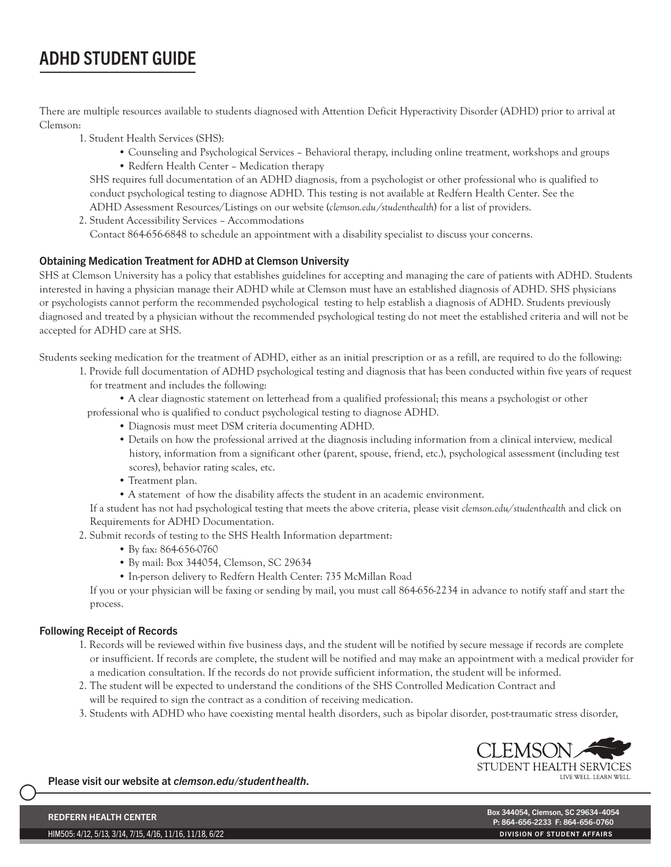# ADHD STUDENT GUIDE

There are multiple resources available to students diagnosed with Attention Deficit Hyperactivity Disorder (ADHD) prior to arrival at Clemson:

- 1. Student Health Services (SHS):
	- Counseling and Psychological Services Behavioral therapy, including online treatment, workshops and groups • Redfern Health Center – Medication therapy

 SHS requires full documentation of an ADHD diagnosis, from a psychologist or other professional who is qualified to conduct psychological testing to diagnose ADHD. This testing is not available at Redfern Health Center. See the ADHD Assessment Resources/Listings on our website (*clemson.edu/studenthealth*) for a list of providers.

2. Student Accessibility Services – Accommodations Contact 864-656-6848 to schedule an appointment with a disability specialist to discuss your concerns.

## Obtaining Medication Treatment for ADHD at Clemson University

SHS at Clemson University has a policy that establishes guidelines for accepting and managing the care of patients with ADHD. Students interested in having a physician manage their ADHD while at Clemson must have an established diagnosis of ADHD. SHS physicians or psychologists cannot perform the recommended psychological testing to help establish a diagnosis of ADHD. Students previously diagnosed and treated by a physician without the recommended psychological testing do not meet the established criteria and will not be accepted for ADHD care at SHS.

Students seeking medication for the treatment of ADHD, either as an initial prescription or as a refill, are required to do the following:

1. Provide full documentation of ADHD psychological testing and diagnosis that has been conducted within five years of request for treatment and includes the following:

 • A clear diagnostic statement on letterhead from a qualified professional; this means a psychologist or other professional who is qualified to conduct psychological testing to diagnose ADHD.

- Diagnosis must meet DSM criteria documenting ADHD.
- Details on how the professional arrived at the diagnosis including information from a clinical interview, medical history, information from a significant other (parent, spouse, friend, etc.), psychological assessment (including test scores), behavior rating scales, etc.
- Treatment plan.
- A statement of how the disability affects the student in an academic environment.

 If a student has not had psychological testing that meets the above criteria, please visit *clemson.edu/studenthealth* and click on Requirements for ADHD Documentation.

- 2. Submit records of testing to the SHS Health Information department:
	- By fax: 864-656-0760
	- By mail: Box 344054, Clemson, SC 29634
	- In-person delivery to Redfern Health Center: 735 McMillan Road

 If you or your physician will be faxing or sending by mail, you must call 864-656-2234 in advance to notify staff and start the process.

### Following Receipt of Records

- 1. Records will be reviewed within five business days, and the student will be notified by secure message if records are complete or insufficient. If records are complete, the student will be notified and may make an appointment with a medical provider for a medication consultation. If the records do not provide sufficient information, the student will be informed.
- 2. The student will be expected to understand the conditions of the SHS Controlled Medication Contract and will be required to sign the contract as a condition of receiving medication.
- 3. Students with ADHD who have coexisting mental health disorders, such as bipolar disorder, post-traumatic stress disorder,



Please visit our website at *clemson.edu/studenthealth*.

HIM505: 4/12, 5/13, 3/14, 7/15, 4/16, 11/16, 11/18, 6/22

REDFERN HEALTH CENTER المستقلة بين المستقلة المستقلة المستقلة المستقلة المستقلة المستقلة المستقلة المستقلة المس<br>Box 344054, Clemson, SC 29634-4054 المستقلة المستقلة المستقلة المستقلة المستقلة المستقلة المستقلة المستقلة ال P: 864-656-2233 F: 864-656-0760 DIVISION OF STUDENT AFFAIRS